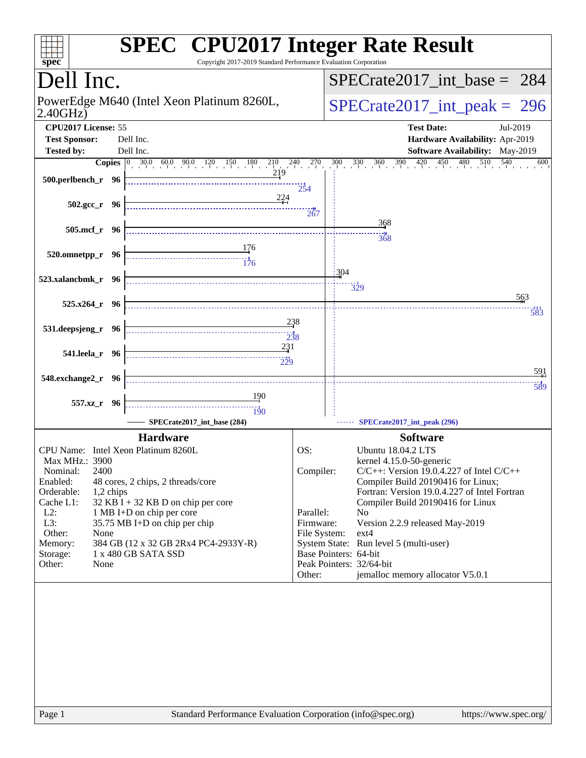| Dell Inc.                                                                                                       |                       | $SPECrate2017\_int\_base = 284$                                               |
|-----------------------------------------------------------------------------------------------------------------|-----------------------|-------------------------------------------------------------------------------|
| PowerEdge M640 (Intel Xeon Platinum 8260L,<br>2.40GHz                                                           |                       | $SPECrate2017\_int\_peak = 296$                                               |
| CPU2017 License: 55                                                                                             |                       | <b>Test Date:</b><br>Jul-2019                                                 |
| <b>Test Sponsor:</b><br>Dell Inc.                                                                               |                       | Hardware Availability: Apr-2019                                               |
| <b>Tested by:</b><br>Dell Inc.                                                                                  |                       | <b>Software Availability:</b> May-2019                                        |
| <b>Copies</b> $\begin{bmatrix} 0 & 30.0 & 60.0 & 90.0 & 120 & 150 & 180 & 210 & 240 & 270 \end{bmatrix}$<br>219 |                       | 450<br>$\frac{480}{1}$ 510<br>540<br>$300 \t 330$<br>390<br>420<br>600<br>360 |
| 500.perlbench_r 96                                                                                              | $2\frac{1}{2}4$       |                                                                               |
| <u>224</u>                                                                                                      |                       |                                                                               |
| $502.\text{gcc}_r$ 96                                                                                           | 267                   |                                                                               |
| 505.mcf_r 96                                                                                                    |                       | 368                                                                           |
|                                                                                                                 |                       | 368                                                                           |
| 520.omnetpp_r 96                                                                                                |                       |                                                                               |
|                                                                                                                 | : 304                 |                                                                               |
| 523.xalancbmk_r 96                                                                                              |                       | $\frac{11}{329}$                                                              |
|                                                                                                                 |                       | 563                                                                           |
| $525.x264_r$ 96                                                                                                 |                       | 583                                                                           |
| 238<br>531.deepsjeng_r 96                                                                                       |                       |                                                                               |
|                                                                                                                 |                       |                                                                               |
| 231<br>541.leela_r 96<br>$-229$                                                                                 |                       |                                                                               |
|                                                                                                                 |                       | 591                                                                           |
| 548.exchange2_r 96                                                                                              |                       | 589                                                                           |
| 190<br>557.xz_r 96                                                                                              |                       |                                                                               |
| 190                                                                                                             |                       |                                                                               |
| SPECrate2017_int_base (284)                                                                                     |                       | SPECrate2017_int_peak (296)                                                   |
| <b>Hardware</b>                                                                                                 |                       | <b>Software</b>                                                               |
| CPU Name: Intel Xeon Platinum 8260L<br>Max MHz.: 3900                                                           | OS:                   | Ubuntu 18.04.2 LTS                                                            |
| 2400<br>Nominal:                                                                                                | Compiler:             | kernel 4.15.0-50-generic<br>$C/C++$ : Version 19.0.4.227 of Intel $C/C++$     |
| Enabled:<br>48 cores, 2 chips, 2 threads/core                                                                   |                       | Compiler Build 20190416 for Linux;                                            |
| Orderable:<br>1,2 chips                                                                                         |                       | Fortran: Version 19.0.4.227 of Intel Fortran                                  |
| Cache L1:<br>$32$ KB I + 32 KB D on chip per core<br>$L2$ :<br>1 MB I+D on chip per core                        | Parallel:             | Compiler Build 20190416 for Linux<br>N <sub>0</sub>                           |
| L3:<br>35.75 MB I+D on chip per chip                                                                            | Firmware:             | Version 2.2.9 released May-2019                                               |
| Other:<br>None                                                                                                  | File System:          | $ext{4}$                                                                      |
| 384 GB (12 x 32 GB 2Rx4 PC4-2933Y-R)<br>Memory:<br>1 x 480 GB SATA SSD                                          | Base Pointers: 64-bit | System State: Run level 5 (multi-user)                                        |
| Storage:<br>Other:<br>None                                                                                      |                       | Peak Pointers: 32/64-bit                                                      |
|                                                                                                                 | Other:                | jemalloc memory allocator V5.0.1                                              |
|                                                                                                                 |                       |                                                                               |
|                                                                                                                 |                       |                                                                               |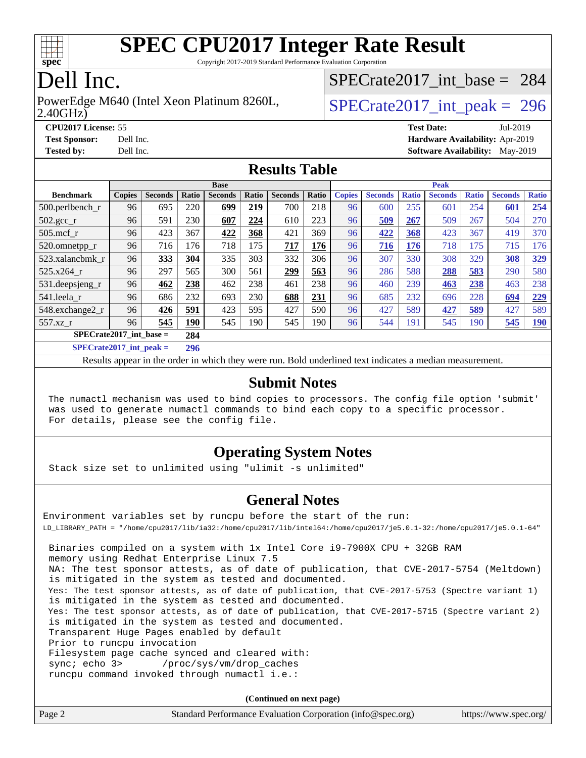

Copyright 2017-2019 Standard Performance Evaluation Corporation

# Dell Inc.

2.40GHz) PowerEdge M640 (Intel Xeon Platinum 8260L,  $\vert$  [SPECrate2017\\_int\\_peak =](http://www.spec.org/auto/cpu2017/Docs/result-fields.html#SPECrate2017intpeak) 296

[SPECrate2017\\_int\\_base =](http://www.spec.org/auto/cpu2017/Docs/result-fields.html#SPECrate2017intbase) 284

**[Tested by:](http://www.spec.org/auto/cpu2017/Docs/result-fields.html#Testedby)** Dell Inc. **[Software Availability:](http://www.spec.org/auto/cpu2017/Docs/result-fields.html#SoftwareAvailability)** May-2019

**[CPU2017 License:](http://www.spec.org/auto/cpu2017/Docs/result-fields.html#CPU2017License)** 55 **[Test Date:](http://www.spec.org/auto/cpu2017/Docs/result-fields.html#TestDate)** Jul-2019 **[Test Sponsor:](http://www.spec.org/auto/cpu2017/Docs/result-fields.html#TestSponsor)** Dell Inc. **[Hardware Availability:](http://www.spec.org/auto/cpu2017/Docs/result-fields.html#HardwareAvailability)** Apr-2019

**[Results Table](http://www.spec.org/auto/cpu2017/Docs/result-fields.html#ResultsTable)**

| <b>Base</b>               |               |                |              |                |       | <b>Peak</b>    |       |               |                |              |                |              |                |              |
|---------------------------|---------------|----------------|--------------|----------------|-------|----------------|-------|---------------|----------------|--------------|----------------|--------------|----------------|--------------|
| <b>Benchmark</b>          | <b>Copies</b> | <b>Seconds</b> | Ratio        | <b>Seconds</b> | Ratio | <b>Seconds</b> | Ratio | <b>Copies</b> | <b>Seconds</b> | <b>Ratio</b> | <b>Seconds</b> | <b>Ratio</b> | <b>Seconds</b> | <b>Ratio</b> |
| 500.perlbench_r           | 96            | 695            | 220          | 699            | 219   | 700            | 218   | 96            | 600            | 255          | 601            | 254          | 601            | 254          |
| $502.\text{gcc}$ _r       | 96            | 591            | 230          | 607            | 224   | 610            | 223   | 96            | 509            | 267          | 509            | 267          | 504            | 270          |
| $505$ .mcf r              | 96            | 423            | 367          | 422            | 368   | 421            | 369   | 96            | 422            | 368          | 423            | 367          | 419            | 370          |
| 520.omnetpp_r             | 96            | 716            | 176          | 718            | 175   | 717            | 176   | 96            | 716            | 176          | 718            | 175          | 715            | 176          |
| 523.xalancbmk r           | 96            | 333            | 304          | 335            | 303   | 332            | 306   | 96            | 307            | 330          | 308            | 329          | 308            | 329          |
| 525.x264 r                | 96            | 297            | 565          | 300            | 561   | 299            | 563   | 96            | 286            | 588          | 288            | 583          | 290            | 580          |
| 531.deepsjeng_r           | 96            | 462            | 238          | 462            | 238   | 461            | 238   | 96            | 460            | 239          | 463            | 238          | 463            | 238          |
| 541.leela r               | 96            | 686            | 232          | 693            | 230   | 688            | 231   | 96            | 685            | 232          | 696            | 228          | 694            | 229          |
| 548.exchange2_r           | 96            | 426            | 591          | 423            | 595   | 427            | 590   | 96            | 427            | 589          | 427            | 589          | 427            | 589          |
| 557.xz r                  | 96            | 545            | 190          | 545            | 190   | 545            | 190   | 96            | 544            | 191          | 545            | 190          | 545            | <u>190</u>   |
| $SPECrate2017$ int base = |               |                | 284          |                |       |                |       |               |                |              |                |              |                |              |
|                           |               |                | $\mathbf{a}$ |                |       |                |       |               |                |              |                |              |                |              |

**[SPECrate2017\\_int\\_peak =](http://www.spec.org/auto/cpu2017/Docs/result-fields.html#SPECrate2017intpeak) 296**

Results appear in the [order in which they were run](http://www.spec.org/auto/cpu2017/Docs/result-fields.html#RunOrder). Bold underlined text [indicates a median measurement](http://www.spec.org/auto/cpu2017/Docs/result-fields.html#Median).

### **[Submit Notes](http://www.spec.org/auto/cpu2017/Docs/result-fields.html#SubmitNotes)**

 The numactl mechanism was used to bind copies to processors. The config file option 'submit' was used to generate numactl commands to bind each copy to a specific processor. For details, please see the config file.

### **[Operating System Notes](http://www.spec.org/auto/cpu2017/Docs/result-fields.html#OperatingSystemNotes)**

Stack size set to unlimited using "ulimit -s unlimited"

### **[General Notes](http://www.spec.org/auto/cpu2017/Docs/result-fields.html#GeneralNotes)**

Environment variables set by runcpu before the start of the run: LD\_LIBRARY\_PATH = "/home/cpu2017/lib/ia32:/home/cpu2017/lib/intel64:/home/cpu2017/je5.0.1-32:/home/cpu2017/je5.0.1-64" Binaries compiled on a system with 1x Intel Core i9-7900X CPU + 32GB RAM memory using Redhat Enterprise Linux 7.5 NA: The test sponsor attests, as of date of publication, that CVE-2017-5754 (Meltdown) is mitigated in the system as tested and documented. Yes: The test sponsor attests, as of date of publication, that CVE-2017-5753 (Spectre variant 1) is mitigated in the system as tested and documented. Yes: The test sponsor attests, as of date of publication, that CVE-2017-5715 (Spectre variant 2) is mitigated in the system as tested and documented. Transparent Huge Pages enabled by default Prior to runcpu invocation Filesystem page cache synced and cleared with: sync; echo 3> /proc/sys/vm/drop\_caches runcpu command invoked through numactl i.e.:

**(Continued on next page)**

| Page 2 | Standard Performance Evaluation Corporation (info@spec.org) | https://www.spec.org/ |
|--------|-------------------------------------------------------------|-----------------------|
|--------|-------------------------------------------------------------|-----------------------|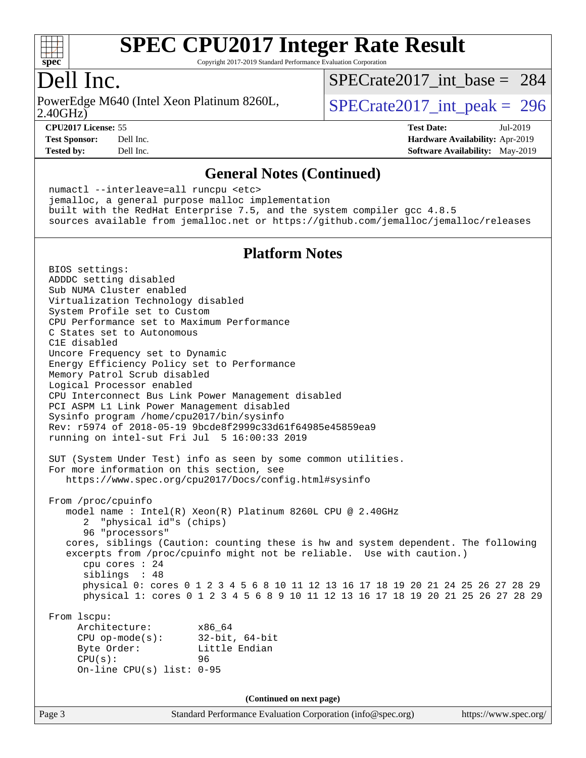

Copyright 2017-2019 Standard Performance Evaluation Corporation

### Dell Inc.

2.40GHz) PowerEdge M640 (Intel Xeon Platinum 8260L,  $\vert$  [SPECrate2017\\_int\\_peak =](http://www.spec.org/auto/cpu2017/Docs/result-fields.html#SPECrate2017intpeak) 296

[SPECrate2017\\_int\\_base =](http://www.spec.org/auto/cpu2017/Docs/result-fields.html#SPECrate2017intbase) 284

**[CPU2017 License:](http://www.spec.org/auto/cpu2017/Docs/result-fields.html#CPU2017License)** 55 **[Test Date:](http://www.spec.org/auto/cpu2017/Docs/result-fields.html#TestDate)** Jul-2019 **[Test Sponsor:](http://www.spec.org/auto/cpu2017/Docs/result-fields.html#TestSponsor)** Dell Inc. **[Hardware Availability:](http://www.spec.org/auto/cpu2017/Docs/result-fields.html#HardwareAvailability)** Apr-2019 **[Tested by:](http://www.spec.org/auto/cpu2017/Docs/result-fields.html#Testedby)** Dell Inc. **[Software Availability:](http://www.spec.org/auto/cpu2017/Docs/result-fields.html#SoftwareAvailability)** May-2019

#### **[General Notes \(Continued\)](http://www.spec.org/auto/cpu2017/Docs/result-fields.html#GeneralNotes)**

 numactl --interleave=all runcpu <etc> jemalloc, a general purpose malloc implementation built with the RedHat Enterprise 7.5, and the system compiler gcc 4.8.5 sources available from jemalloc.net or <https://github.com/jemalloc/jemalloc/releases>

### **[Platform Notes](http://www.spec.org/auto/cpu2017/Docs/result-fields.html#PlatformNotes)**

 BIOS settings: ADDDC setting disabled Sub NUMA Cluster enabled Virtualization Technology disabled System Profile set to Custom CPU Performance set to Maximum Performance C States set to Autonomous C1E disabled Uncore Frequency set to Dynamic Energy Efficiency Policy set to Performance Memory Patrol Scrub disabled Logical Processor enabled CPU Interconnect Bus Link Power Management disabled PCI ASPM L1 Link Power Management disabled Sysinfo program /home/cpu2017/bin/sysinfo Rev: r5974 of 2018-05-19 9bcde8f2999c33d61f64985e45859ea9 running on intel-sut Fri Jul 5 16:00:33 2019 SUT (System Under Test) info as seen by some common utilities. For more information on this section, see <https://www.spec.org/cpu2017/Docs/config.html#sysinfo> From /proc/cpuinfo model name : Intel(R) Xeon(R) Platinum 8260L CPU @ 2.40GHz 2 "physical id"s (chips) 96 "processors" cores, siblings (Caution: counting these is hw and system dependent. The following excerpts from /proc/cpuinfo might not be reliable. Use with caution.) cpu cores : 24 siblings : 48 physical 0: cores 0 1 2 3 4 5 6 8 10 11 12 13 16 17 18 19 20 21 24 25 26 27 28 29 physical 1: cores 0 1 2 3 4 5 6 8 9 10 11 12 13 16 17 18 19 20 21 25 26 27 28 29 From lscpu: Architecture: x86\_64 CPU op-mode(s): 32-bit, 64-bit Byte Order: Little Endian CPU(s): 96 On-line CPU(s) list: 0-95 **(Continued on next page)**

Page 3 Standard Performance Evaluation Corporation [\(info@spec.org\)](mailto:info@spec.org) <https://www.spec.org/>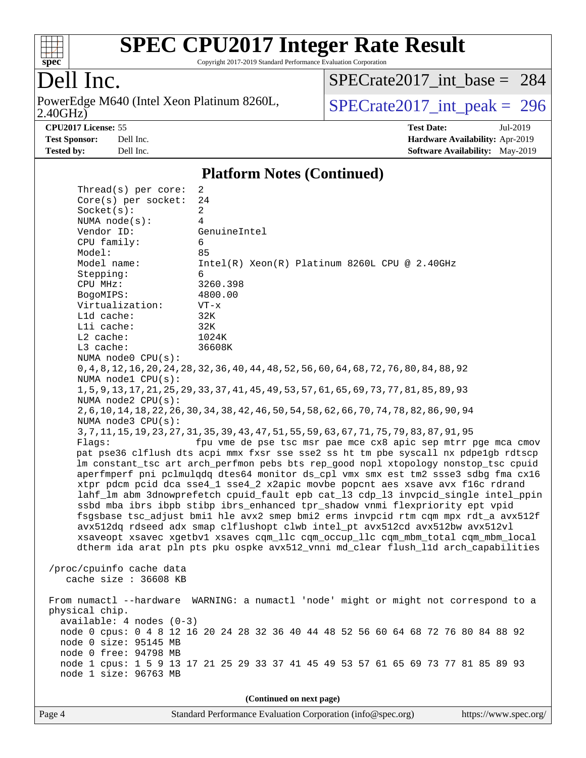

Copyright 2017-2019 Standard Performance Evaluation Corporation

# Dell Inc.

2.40GHz) PowerEdge M640 (Intel Xeon Platinum 8260L,  $\text{SPECrate2017\_int\_peak} = 296$ 

[SPECrate2017\\_int\\_base =](http://www.spec.org/auto/cpu2017/Docs/result-fields.html#SPECrate2017intbase) 284

**[CPU2017 License:](http://www.spec.org/auto/cpu2017/Docs/result-fields.html#CPU2017License)** 55 **[Test Date:](http://www.spec.org/auto/cpu2017/Docs/result-fields.html#TestDate)** Jul-2019 **[Test Sponsor:](http://www.spec.org/auto/cpu2017/Docs/result-fields.html#TestSponsor)** Dell Inc. **[Hardware Availability:](http://www.spec.org/auto/cpu2017/Docs/result-fields.html#HardwareAvailability)** Apr-2019 **[Tested by:](http://www.spec.org/auto/cpu2017/Docs/result-fields.html#Testedby)** Dell Inc. Dell Inc. **[Software Availability:](http://www.spec.org/auto/cpu2017/Docs/result-fields.html#SoftwareAvailability)** May-2019

#### **[Platform Notes \(Continued\)](http://www.spec.org/auto/cpu2017/Docs/result-fields.html#PlatformNotes)**

| Thread(s) per core:                               | 2                                                                                            |
|---------------------------------------------------|----------------------------------------------------------------------------------------------|
| Core(s) per socket:                               | 24                                                                                           |
| Socket(s):                                        | $\overline{a}$                                                                               |
| NUMA $node(s):$                                   | 4                                                                                            |
| Vendor ID:                                        | GenuineIntel                                                                                 |
| CPU family:                                       | 6                                                                                            |
| Model:                                            | 85                                                                                           |
| Model name:                                       | $Intel(R) Xeon(R) Platinum 8260L CPU @ 2.40GHz$                                              |
| Stepping:                                         | 6                                                                                            |
| CPU MHz:                                          | 3260.398                                                                                     |
| BogoMIPS:                                         | 4800.00                                                                                      |
| Virtualization:                                   | $VT - x$                                                                                     |
| L1d cache:                                        | 32K                                                                                          |
| Lli cache:                                        | 32K                                                                                          |
| $L2$ cache:                                       | 1024K                                                                                        |
| L3 cache:                                         | 36608K                                                                                       |
| NUMA node0 CPU(s):                                |                                                                                              |
| NUMA nodel CPU(s):                                | 0, 4, 8, 12, 16, 20, 24, 28, 32, 36, 40, 44, 48, 52, 56, 60, 64, 68, 72, 76, 80, 84, 88, 92  |
| NUMA node2 CPU(s):                                | 1, 5, 9, 13, 17, 21, 25, 29, 33, 37, 41, 45, 49, 53, 57, 61, 65, 69, 73, 77, 81, 85, 89, 93  |
|                                                   | 2, 6, 10, 14, 18, 22, 26, 30, 34, 38, 42, 46, 50, 54, 58, 62, 66, 70, 74, 78, 82, 86, 90, 94 |
| NUMA node3 CPU(s):                                |                                                                                              |
|                                                   | 3, 7, 11, 15, 19, 23, 27, 31, 35, 39, 43, 47, 51, 55, 59, 63, 67, 71, 75, 79, 83, 87, 91, 95 |
| Flags:                                            | fpu vme de pse tsc msr pae mce cx8 apic sep mtrr pge mca cmov                                |
|                                                   | pat pse36 clflush dts acpi mmx fxsr sse sse2 ss ht tm pbe syscall nx pdpelgb rdtscp          |
|                                                   | lm constant_tsc art arch_perfmon pebs bts rep_good nopl xtopology nonstop_tsc cpuid          |
|                                                   | aperfmperf pni pclmulqdq dtes64 monitor ds_cpl vmx smx est tm2 ssse3 sdbg fma cx16           |
|                                                   | xtpr pdcm pcid dca sse4_1 sse4_2 x2apic movbe popcnt aes xsave avx f16c rdrand               |
|                                                   | lahf_lm abm 3dnowprefetch cpuid_fault epb cat_13 cdp_13 invpcid_single intel_ppin            |
|                                                   | ssbd mba ibrs ibpb stibp ibrs_enhanced tpr_shadow vnmi flexpriority ept vpid                 |
|                                                   | fsgsbase tsc_adjust bmil hle avx2 smep bmi2 erms invpcid rtm cqm mpx rdt_a avx512f           |
|                                                   | avx512dq rdseed adx smap clflushopt clwb intel_pt avx512cd avx512bw avx512vl                 |
|                                                   | xsaveopt xsavec xgetbvl xsaves cqm_llc cqm_occup_llc cqm_mbm_total cqm_mbm_local             |
|                                                   | dtherm ida arat pln pts pku ospke avx512_vnni md_clear flush_lld arch_capabilities           |
|                                                   |                                                                                              |
| /proc/cpuinfo cache data<br>cache size : 36608 KB |                                                                                              |
|                                                   |                                                                                              |
| From numactl --hardware                           | WARNING: a numactl 'node' might or might not correspond to a                                 |
| physical chip.                                    |                                                                                              |
| $available: 4 nodes (0-3)$                        |                                                                                              |
|                                                   | node 0 cpus: 0 4 8 12 16 20 24 28 32 36 40 44 48 52 56 60 64 68 72 76 80 84 88 92            |
| node 0 size: 95145 MB                             |                                                                                              |
| node 0 free: 94798 MB                             |                                                                                              |
|                                                   | node 1 cpus: 1 5 9 13 17 21 25 29 33 37 41 45 49 53 57 61 65 69 73 77 81 85 89 93            |
| node 1 size: 96763 MB                             |                                                                                              |
|                                                   |                                                                                              |
|                                                   | (Continued on next page)                                                                     |
|                                                   |                                                                                              |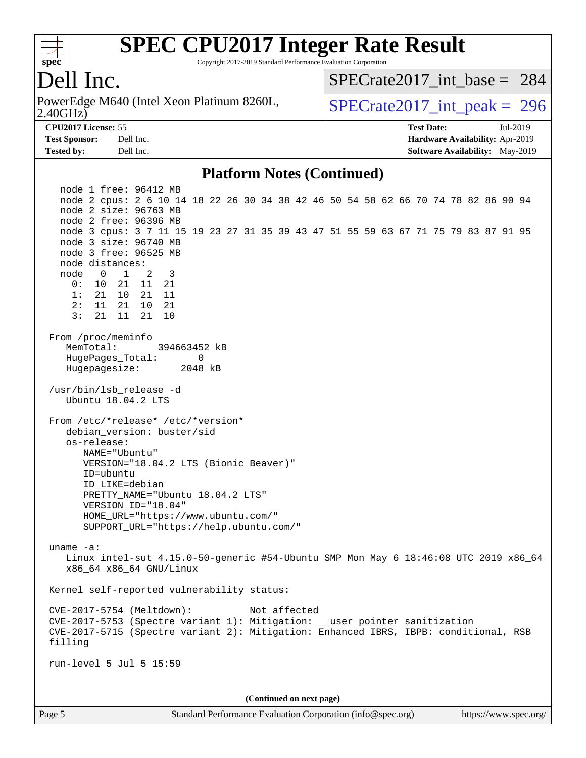

Copyright 2017-2019 Standard Performance Evaluation Corporation

# Dell Inc.

2.40GHz) PowerEdge M640 (Intel Xeon Platinum 8260L,  $\vert$  [SPECrate2017\\_int\\_peak =](http://www.spec.org/auto/cpu2017/Docs/result-fields.html#SPECrate2017intpeak) 296

[SPECrate2017\\_int\\_base =](http://www.spec.org/auto/cpu2017/Docs/result-fields.html#SPECrate2017intbase) 284

**[Tested by:](http://www.spec.org/auto/cpu2017/Docs/result-fields.html#Testedby)** Dell Inc. **[Software Availability:](http://www.spec.org/auto/cpu2017/Docs/result-fields.html#SoftwareAvailability)** May-2019

**[CPU2017 License:](http://www.spec.org/auto/cpu2017/Docs/result-fields.html#CPU2017License)** 55 **[Test Date:](http://www.spec.org/auto/cpu2017/Docs/result-fields.html#TestDate)** Jul-2019 **[Test Sponsor:](http://www.spec.org/auto/cpu2017/Docs/result-fields.html#TestSponsor)** Dell Inc. **[Hardware Availability:](http://www.spec.org/auto/cpu2017/Docs/result-fields.html#HardwareAvailability)** Apr-2019

#### **[Platform Notes \(Continued\)](http://www.spec.org/auto/cpu2017/Docs/result-fields.html#PlatformNotes)**

 node 1 free: 96412 MB node 2 cpus: 2 6 10 14 18 22 26 30 34 38 42 46 50 54 58 62 66 70 74 78 82 86 90 94 node 2 size: 96763 MB node 2 free: 96396 MB node 3 cpus: 3 7 11 15 19 23 27 31 35 39 43 47 51 55 59 63 67 71 75 79 83 87 91 95 node 3 size: 96740 MB node 3 free: 96525 MB node distances: node 0 1 2 3 0: 10 21 11 21 1: 21 10 21 11 2: 11 21 10 21 3: 21 11 21 10 From /proc/meminfo MemTotal: 394663452 kB HugePages\_Total: 0 Hugepagesize: 2048 kB /usr/bin/lsb\_release -d Ubuntu 18.04.2 LTS From /etc/\*release\* /etc/\*version\* debian version: buster/sid os-release: NAME="Ubuntu" VERSION="18.04.2 LTS (Bionic Beaver)" ID=ubuntu ID\_LIKE=debian PRETTY\_NAME="Ubuntu 18.04.2 LTS" VERSION\_ID="18.04" HOME\_URL="<https://www.ubuntu.com/"> SUPPORT\_URL="<https://help.ubuntu.com/"> uname -a: Linux intel-sut 4.15.0-50-generic #54-Ubuntu SMP Mon May 6 18:46:08 UTC 2019 x86\_64 x86\_64 x86\_64 GNU/Linux Kernel self-reported vulnerability status: CVE-2017-5754 (Meltdown): Not affected CVE-2017-5753 (Spectre variant 1): Mitigation: \_\_user pointer sanitization CVE-2017-5715 (Spectre variant 2): Mitigation: Enhanced IBRS, IBPB: conditional, RSB filling run-level 5 Jul 5 15:59 **(Continued on next page)**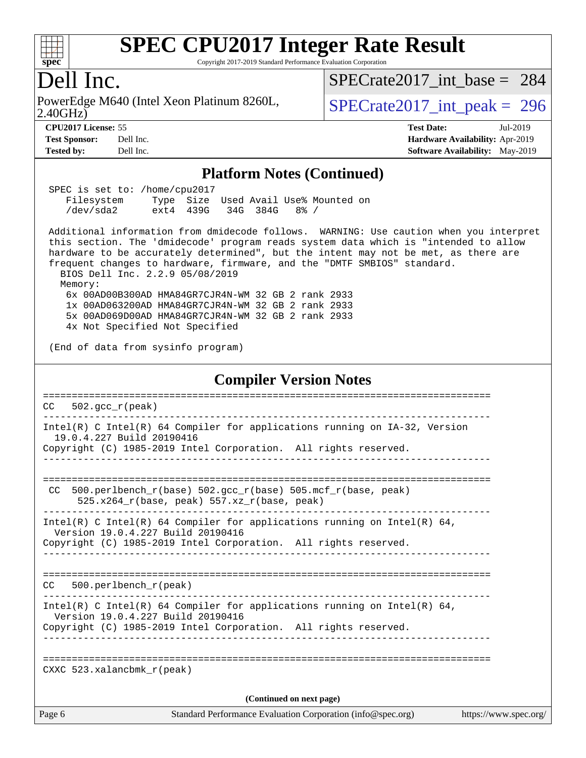

Copyright 2017-2019 Standard Performance Evaluation Corporation

### Dell Inc.

2.40GHz) PowerEdge M640 (Intel Xeon Platinum 8260L,  $\vert$  [SPECrate2017\\_int\\_peak =](http://www.spec.org/auto/cpu2017/Docs/result-fields.html#SPECrate2017intpeak) 296

[SPECrate2017\\_int\\_base =](http://www.spec.org/auto/cpu2017/Docs/result-fields.html#SPECrate2017intbase) 284

**[Tested by:](http://www.spec.org/auto/cpu2017/Docs/result-fields.html#Testedby)** Dell Inc. **[Software Availability:](http://www.spec.org/auto/cpu2017/Docs/result-fields.html#SoftwareAvailability)** May-2019

**[CPU2017 License:](http://www.spec.org/auto/cpu2017/Docs/result-fields.html#CPU2017License)** 55 **[Test Date:](http://www.spec.org/auto/cpu2017/Docs/result-fields.html#TestDate)** Jul-2019 **[Test Sponsor:](http://www.spec.org/auto/cpu2017/Docs/result-fields.html#TestSponsor)** Dell Inc. **[Hardware Availability:](http://www.spec.org/auto/cpu2017/Docs/result-fields.html#HardwareAvailability)** Apr-2019

#### **[Platform Notes \(Continued\)](http://www.spec.org/auto/cpu2017/Docs/result-fields.html#PlatformNotes)**

| SPEC is set to: /home/cpu2017 |                    |  |                     |                                      |  |
|-------------------------------|--------------------|--|---------------------|--------------------------------------|--|
| Filesystem                    |                    |  |                     | Type Size Used Avail Use% Mounted on |  |
| /dev/sda2                     | ext4 439G 34G 384G |  | $\cdot$ 8% $\prime$ |                                      |  |

 Additional information from dmidecode follows. WARNING: Use caution when you interpret this section. The 'dmidecode' program reads system data which is "intended to allow hardware to be accurately determined", but the intent may not be met, as there are frequent changes to hardware, firmware, and the "DMTF SMBIOS" standard. BIOS Dell Inc. 2.2.9 05/08/2019

Memory:

 6x 00AD00B300AD HMA84GR7CJR4N-WM 32 GB 2 rank 2933 1x 00AD063200AD HMA84GR7CJR4N-WM 32 GB 2 rank 2933 5x 00AD069D00AD HMA84GR7CJR4N-WM 32 GB 2 rank 2933 4x Not Specified Not Specified

(End of data from sysinfo program)

#### **[Compiler Version Notes](http://www.spec.org/auto/cpu2017/Docs/result-fields.html#CompilerVersionNotes)**

| CC     | $502 \text{ qcc r (peak)}$                                                                                    |                       |
|--------|---------------------------------------------------------------------------------------------------------------|-----------------------|
|        | Intel(R) C Intel(R) 64 Compiler for applications running on $IA-32$ , Version<br>19.0.4.227 Build 20190416    |                       |
|        | Copyright (C) 1985-2019 Intel Corporation. All rights reserved.                                               |                       |
|        | CC 500.perlbench_r(base) $502.\text{gcc_r}$ (base) $505.\text{mcf_r}$ (base, peak)                            |                       |
|        | $525.x264_r(base, peak) 557.xz_r(base, peak)$                                                                 |                       |
|        | Intel(R) C Intel(R) 64 Compiler for applications running on Intel(R) 64,<br>Version 19.0.4.227 Build 20190416 |                       |
|        | Copyright (C) 1985-2019 Intel Corporation. All rights reserved.                                               |                       |
| CC.    | $500. perlbench_r (peak)$                                                                                     |                       |
|        |                                                                                                               |                       |
|        | Intel(R) C Intel(R) 64 Compiler for applications running on Intel(R) 64,<br>Version 19.0.4.227 Build 20190416 |                       |
|        | Copyright (C) 1985-2019 Intel Corporation. All rights reserved.                                               |                       |
|        |                                                                                                               |                       |
|        | CXXC $523.$ xalancbmk $r(\text{peak})$                                                                        |                       |
|        | (Continued on next page)                                                                                      |                       |
| Page 6 | Standard Performance Evaluation Corporation (info@spec.org)                                                   | https://www.spec.org/ |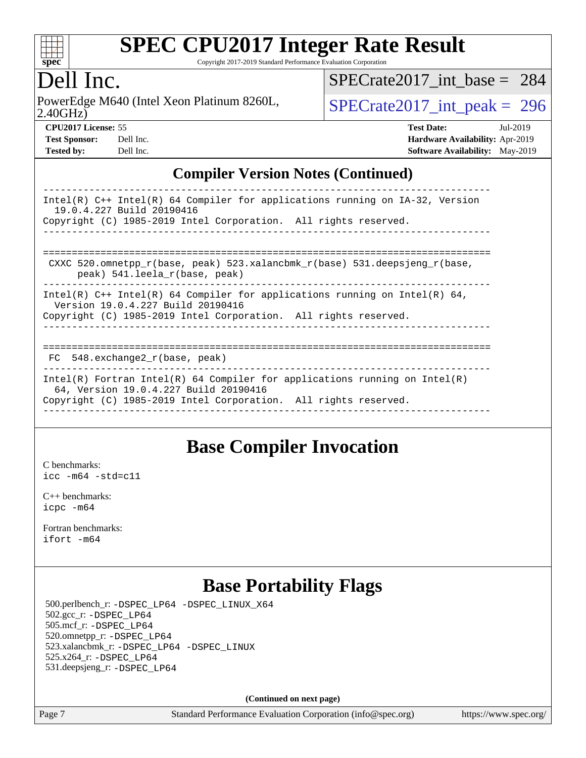

Copyright 2017-2019 Standard Performance Evaluation Corporation

## Dell Inc.

2.40GHz) PowerEdge M640 (Intel Xeon Platinum 8260L,  $\vert$  [SPECrate2017\\_int\\_peak =](http://www.spec.org/auto/cpu2017/Docs/result-fields.html#SPECrate2017intpeak) 296

[SPECrate2017\\_int\\_base =](http://www.spec.org/auto/cpu2017/Docs/result-fields.html#SPECrate2017intbase) 284

| <b>CPU2017 License: 55</b> |           | <b>Test Date:</b>                      | Jul-2019 |
|----------------------------|-----------|----------------------------------------|----------|
| <b>Test Sponsor:</b>       | Dell Inc. | <b>Hardware Availability: Apr-2019</b> |          |
| <b>Tested by:</b>          | Dell Inc. | <b>Software Availability:</b> May-2019 |          |

**[CPU2017 License:](http://www.spec.org/auto/cpu2017/Docs/result-fields.html#CPU2017License)** 55 **[Test Date:](http://www.spec.org/auto/cpu2017/Docs/result-fields.html#TestDate)** Jul-2019

### **[Compiler Version Notes \(Continued\)](http://www.spec.org/auto/cpu2017/Docs/result-fields.html#CompilerVersionNotes)**

| Intel(R) $C++$ Intel(R) 64 Compiler for applications running on IA-32, Version<br>19.0.4.227 Build 20190416<br>Copyright (C) 1985-2019 Intel Corporation. All rights reserved.                                                |
|-------------------------------------------------------------------------------------------------------------------------------------------------------------------------------------------------------------------------------|
| CXXC 520.omnetpp $r(base, peak)$ 523.xalancbmk $r(base)$ 531.deepsjeng $r(base,$<br>peak) 541.leela r(base, peak)                                                                                                             |
| Intel(R) $C++$ Intel(R) 64 Compiler for applications running on Intel(R) 64,<br>Version 19.0.4.227 Build 20190416<br>Copyright (C) 1985-2019 Intel Corporation. All rights reserved.<br>------------------------------------- |
| 548.exchange2 r(base, peak)<br>FC.                                                                                                                                                                                            |
| Intel(R) Fortran Intel(R) 64 Compiler for applications running on Intel(R)<br>64, Version 19.0.4.227 Build 20190416<br>Copyright (C) 1985-2019 Intel Corporation. All rights reserved.                                        |

### **[Base Compiler Invocation](http://www.spec.org/auto/cpu2017/Docs/result-fields.html#BaseCompilerInvocation)**

[C benchmarks](http://www.spec.org/auto/cpu2017/Docs/result-fields.html#Cbenchmarks): [icc -m64 -std=c11](http://www.spec.org/cpu2017/results/res2019q3/cpu2017-20190722-16260.flags.html#user_CCbase_intel_icc_64bit_c11_33ee0cdaae7deeeab2a9725423ba97205ce30f63b9926c2519791662299b76a0318f32ddfffdc46587804de3178b4f9328c46fa7c2b0cd779d7a61945c91cd35)

[C++ benchmarks:](http://www.spec.org/auto/cpu2017/Docs/result-fields.html#CXXbenchmarks) [icpc -m64](http://www.spec.org/cpu2017/results/res2019q3/cpu2017-20190722-16260.flags.html#user_CXXbase_intel_icpc_64bit_4ecb2543ae3f1412ef961e0650ca070fec7b7afdcd6ed48761b84423119d1bf6bdf5cad15b44d48e7256388bc77273b966e5eb805aefd121eb22e9299b2ec9d9)

[Fortran benchmarks](http://www.spec.org/auto/cpu2017/Docs/result-fields.html#Fortranbenchmarks): [ifort -m64](http://www.spec.org/cpu2017/results/res2019q3/cpu2017-20190722-16260.flags.html#user_FCbase_intel_ifort_64bit_24f2bb282fbaeffd6157abe4f878425411749daecae9a33200eee2bee2fe76f3b89351d69a8130dd5949958ce389cf37ff59a95e7a40d588e8d3a57e0c3fd751)

### **[Base Portability Flags](http://www.spec.org/auto/cpu2017/Docs/result-fields.html#BasePortabilityFlags)**

 500.perlbench\_r: [-DSPEC\\_LP64](http://www.spec.org/cpu2017/results/res2019q3/cpu2017-20190722-16260.flags.html#b500.perlbench_r_basePORTABILITY_DSPEC_LP64) [-DSPEC\\_LINUX\\_X64](http://www.spec.org/cpu2017/results/res2019q3/cpu2017-20190722-16260.flags.html#b500.perlbench_r_baseCPORTABILITY_DSPEC_LINUX_X64) 502.gcc\_r: [-DSPEC\\_LP64](http://www.spec.org/cpu2017/results/res2019q3/cpu2017-20190722-16260.flags.html#suite_basePORTABILITY502_gcc_r_DSPEC_LP64) 505.mcf\_r: [-DSPEC\\_LP64](http://www.spec.org/cpu2017/results/res2019q3/cpu2017-20190722-16260.flags.html#suite_basePORTABILITY505_mcf_r_DSPEC_LP64) 520.omnetpp\_r: [-DSPEC\\_LP64](http://www.spec.org/cpu2017/results/res2019q3/cpu2017-20190722-16260.flags.html#suite_basePORTABILITY520_omnetpp_r_DSPEC_LP64) 523.xalancbmk\_r: [-DSPEC\\_LP64](http://www.spec.org/cpu2017/results/res2019q3/cpu2017-20190722-16260.flags.html#suite_basePORTABILITY523_xalancbmk_r_DSPEC_LP64) [-DSPEC\\_LINUX](http://www.spec.org/cpu2017/results/res2019q3/cpu2017-20190722-16260.flags.html#b523.xalancbmk_r_baseCXXPORTABILITY_DSPEC_LINUX) 525.x264\_r: [-DSPEC\\_LP64](http://www.spec.org/cpu2017/results/res2019q3/cpu2017-20190722-16260.flags.html#suite_basePORTABILITY525_x264_r_DSPEC_LP64) 531.deepsjeng\_r: [-DSPEC\\_LP64](http://www.spec.org/cpu2017/results/res2019q3/cpu2017-20190722-16260.flags.html#suite_basePORTABILITY531_deepsjeng_r_DSPEC_LP64)

**(Continued on next page)**

Page 7 Standard Performance Evaluation Corporation [\(info@spec.org\)](mailto:info@spec.org) <https://www.spec.org/>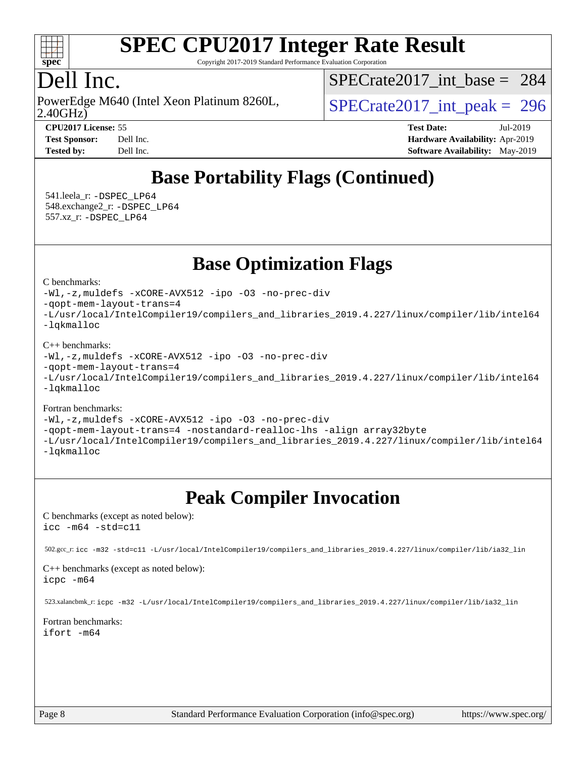

Copyright 2017-2019 Standard Performance Evaluation Corporation

# Dell Inc.

2.40GHz) PowerEdge M640 (Intel Xeon Platinum 8260L,  $\vert$  [SPECrate2017\\_int\\_peak =](http://www.spec.org/auto/cpu2017/Docs/result-fields.html#SPECrate2017intpeak) 296

[SPECrate2017\\_int\\_base =](http://www.spec.org/auto/cpu2017/Docs/result-fields.html#SPECrate2017intbase) 284

**[Tested by:](http://www.spec.org/auto/cpu2017/Docs/result-fields.html#Testedby)** Dell Inc. **[Software Availability:](http://www.spec.org/auto/cpu2017/Docs/result-fields.html#SoftwareAvailability)** May-2019

**[CPU2017 License:](http://www.spec.org/auto/cpu2017/Docs/result-fields.html#CPU2017License)** 55 **[Test Date:](http://www.spec.org/auto/cpu2017/Docs/result-fields.html#TestDate)** Jul-2019 **[Test Sponsor:](http://www.spec.org/auto/cpu2017/Docs/result-fields.html#TestSponsor)** Dell Inc. **[Hardware Availability:](http://www.spec.org/auto/cpu2017/Docs/result-fields.html#HardwareAvailability)** Apr-2019

# **[Base Portability Flags \(Continued\)](http://www.spec.org/auto/cpu2017/Docs/result-fields.html#BasePortabilityFlags)**

 541.leela\_r: [-DSPEC\\_LP64](http://www.spec.org/cpu2017/results/res2019q3/cpu2017-20190722-16260.flags.html#suite_basePORTABILITY541_leela_r_DSPEC_LP64) 548.exchange2\_r: [-DSPEC\\_LP64](http://www.spec.org/cpu2017/results/res2019q3/cpu2017-20190722-16260.flags.html#suite_basePORTABILITY548_exchange2_r_DSPEC_LP64) 557.xz\_r: [-DSPEC\\_LP64](http://www.spec.org/cpu2017/results/res2019q3/cpu2017-20190722-16260.flags.html#suite_basePORTABILITY557_xz_r_DSPEC_LP64)

**[Base Optimization Flags](http://www.spec.org/auto/cpu2017/Docs/result-fields.html#BaseOptimizationFlags)**

#### [C benchmarks](http://www.spec.org/auto/cpu2017/Docs/result-fields.html#Cbenchmarks):

```
-Wl,-z,muldefs -xCORE-AVX512 -ipo -O3 -no-prec-div
-qopt-mem-layout-trans=4
-L/usr/local/IntelCompiler19/compilers_and_libraries_2019.4.227/linux/compiler/lib/intel64
-lqkmalloc
```
#### [C++ benchmarks](http://www.spec.org/auto/cpu2017/Docs/result-fields.html#CXXbenchmarks):

```
-Wl,-z,muldefs -xCORE-AVX512 -ipo -O3 -no-prec-div
-qopt-mem-layout-trans=4
-L/usr/local/IntelCompiler19/compilers_and_libraries_2019.4.227/linux/compiler/lib/intel64
-lqkmalloc
```
#### [Fortran benchmarks](http://www.spec.org/auto/cpu2017/Docs/result-fields.html#Fortranbenchmarks):

```
-Wl,-z,muldefs -xCORE-AVX512 -ipo -O3 -no-prec-div
-qopt-mem-layout-trans=4 -nostandard-realloc-lhs -align array32byte
-L/usr/local/IntelCompiler19/compilers_and_libraries_2019.4.227/linux/compiler/lib/intel64
-lqkmalloc
```
# **[Peak Compiler Invocation](http://www.spec.org/auto/cpu2017/Docs/result-fields.html#PeakCompilerInvocation)**

[C benchmarks \(except as noted below\)](http://www.spec.org/auto/cpu2017/Docs/result-fields.html#Cbenchmarksexceptasnotedbelow): [icc -m64 -std=c11](http://www.spec.org/cpu2017/results/res2019q3/cpu2017-20190722-16260.flags.html#user_CCpeak_intel_icc_64bit_c11_33ee0cdaae7deeeab2a9725423ba97205ce30f63b9926c2519791662299b76a0318f32ddfffdc46587804de3178b4f9328c46fa7c2b0cd779d7a61945c91cd35)

```
 502.gcc_r: icc -m32 -std=c11 -L/usr/local/IntelCompiler19/compilers_and_libraries_2019.4.227/linux/compiler/lib/ia32_lin
```
#### [C++ benchmarks \(except as noted below\)](http://www.spec.org/auto/cpu2017/Docs/result-fields.html#CXXbenchmarksexceptasnotedbelow): [icpc -m64](http://www.spec.org/cpu2017/results/res2019q3/cpu2017-20190722-16260.flags.html#user_CXXpeak_intel_icpc_64bit_4ecb2543ae3f1412ef961e0650ca070fec7b7afdcd6ed48761b84423119d1bf6bdf5cad15b44d48e7256388bc77273b966e5eb805aefd121eb22e9299b2ec9d9)

523.xalancbmk\_r: [icpc -m32 -L/usr/local/IntelCompiler19/compilers\\_and\\_libraries\\_2019.4.227/linux/compiler/lib/ia32\\_lin](http://www.spec.org/cpu2017/results/res2019q3/cpu2017-20190722-16260.flags.html#user_peakCXXLD523_xalancbmk_r_intel_icpc_840f965b38320ad10acba6032d6ca4c816e722c432c250f3408feae347068ba449f694544a48cf12cd3bde3495e328e6747ab0f629c2925d3062e2ee144af951)

#### [Fortran benchmarks](http://www.spec.org/auto/cpu2017/Docs/result-fields.html#Fortranbenchmarks): [ifort -m64](http://www.spec.org/cpu2017/results/res2019q3/cpu2017-20190722-16260.flags.html#user_FCpeak_intel_ifort_64bit_24f2bb282fbaeffd6157abe4f878425411749daecae9a33200eee2bee2fe76f3b89351d69a8130dd5949958ce389cf37ff59a95e7a40d588e8d3a57e0c3fd751)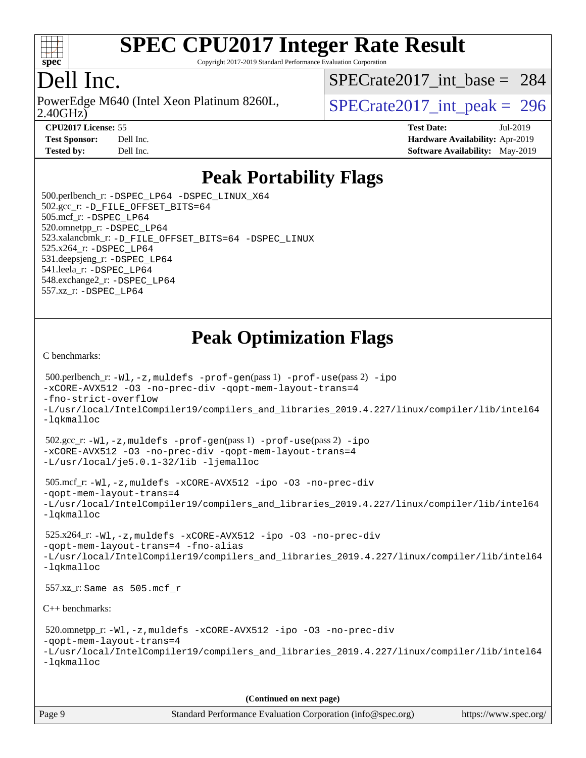

Copyright 2017-2019 Standard Performance Evaluation Corporation

# Dell Inc.

2.40GHz) PowerEdge M640 (Intel Xeon Platinum 8260L,  $\vert$  [SPECrate2017\\_int\\_peak =](http://www.spec.org/auto/cpu2017/Docs/result-fields.html#SPECrate2017intpeak) 296

[SPECrate2017\\_int\\_base =](http://www.spec.org/auto/cpu2017/Docs/result-fields.html#SPECrate2017intbase) 284

**[CPU2017 License:](http://www.spec.org/auto/cpu2017/Docs/result-fields.html#CPU2017License)** 55 **[Test Date:](http://www.spec.org/auto/cpu2017/Docs/result-fields.html#TestDate)** Jul-2019 **[Test Sponsor:](http://www.spec.org/auto/cpu2017/Docs/result-fields.html#TestSponsor)** Dell Inc. **[Hardware Availability:](http://www.spec.org/auto/cpu2017/Docs/result-fields.html#HardwareAvailability)** Apr-2019 **[Tested by:](http://www.spec.org/auto/cpu2017/Docs/result-fields.html#Testedby)** Dell Inc. **[Software Availability:](http://www.spec.org/auto/cpu2017/Docs/result-fields.html#SoftwareAvailability)** May-2019

## **[Peak Portability Flags](http://www.spec.org/auto/cpu2017/Docs/result-fields.html#PeakPortabilityFlags)**

 500.perlbench\_r: [-DSPEC\\_LP64](http://www.spec.org/cpu2017/results/res2019q3/cpu2017-20190722-16260.flags.html#b500.perlbench_r_peakPORTABILITY_DSPEC_LP64) [-DSPEC\\_LINUX\\_X64](http://www.spec.org/cpu2017/results/res2019q3/cpu2017-20190722-16260.flags.html#b500.perlbench_r_peakCPORTABILITY_DSPEC_LINUX_X64) 502.gcc\_r: [-D\\_FILE\\_OFFSET\\_BITS=64](http://www.spec.org/cpu2017/results/res2019q3/cpu2017-20190722-16260.flags.html#user_peakPORTABILITY502_gcc_r_file_offset_bits_64_5ae949a99b284ddf4e95728d47cb0843d81b2eb0e18bdfe74bbf0f61d0b064f4bda2f10ea5eb90e1dcab0e84dbc592acfc5018bc955c18609f94ddb8d550002c) 505.mcf\_r: [-DSPEC\\_LP64](http://www.spec.org/cpu2017/results/res2019q3/cpu2017-20190722-16260.flags.html#suite_peakPORTABILITY505_mcf_r_DSPEC_LP64) 520.omnetpp\_r: [-DSPEC\\_LP64](http://www.spec.org/cpu2017/results/res2019q3/cpu2017-20190722-16260.flags.html#suite_peakPORTABILITY520_omnetpp_r_DSPEC_LP64) 523.xalancbmk\_r: [-D\\_FILE\\_OFFSET\\_BITS=64](http://www.spec.org/cpu2017/results/res2019q3/cpu2017-20190722-16260.flags.html#user_peakPORTABILITY523_xalancbmk_r_file_offset_bits_64_5ae949a99b284ddf4e95728d47cb0843d81b2eb0e18bdfe74bbf0f61d0b064f4bda2f10ea5eb90e1dcab0e84dbc592acfc5018bc955c18609f94ddb8d550002c) [-DSPEC\\_LINUX](http://www.spec.org/cpu2017/results/res2019q3/cpu2017-20190722-16260.flags.html#b523.xalancbmk_r_peakCXXPORTABILITY_DSPEC_LINUX) 525.x264\_r: [-DSPEC\\_LP64](http://www.spec.org/cpu2017/results/res2019q3/cpu2017-20190722-16260.flags.html#suite_peakPORTABILITY525_x264_r_DSPEC_LP64) 531.deepsjeng\_r: [-DSPEC\\_LP64](http://www.spec.org/cpu2017/results/res2019q3/cpu2017-20190722-16260.flags.html#suite_peakPORTABILITY531_deepsjeng_r_DSPEC_LP64) 541.leela\_r: [-DSPEC\\_LP64](http://www.spec.org/cpu2017/results/res2019q3/cpu2017-20190722-16260.flags.html#suite_peakPORTABILITY541_leela_r_DSPEC_LP64) 548.exchange2\_r: [-DSPEC\\_LP64](http://www.spec.org/cpu2017/results/res2019q3/cpu2017-20190722-16260.flags.html#suite_peakPORTABILITY548_exchange2_r_DSPEC_LP64) 557.xz\_r: [-DSPEC\\_LP64](http://www.spec.org/cpu2017/results/res2019q3/cpu2017-20190722-16260.flags.html#suite_peakPORTABILITY557_xz_r_DSPEC_LP64)

# **[Peak Optimization Flags](http://www.spec.org/auto/cpu2017/Docs/result-fields.html#PeakOptimizationFlags)**

[C benchmarks](http://www.spec.org/auto/cpu2017/Docs/result-fields.html#Cbenchmarks):

```
 500.perlbench_r: -Wl,-z,muldefs -prof-gen(pass 1) -prof-use(pass 2) -ipo
-xCORE-AVX512 -O3 -no-prec-div -qopt-mem-layout-trans=4
-fno-strict-overflow
-L/usr/local/IntelCompiler19/compilers_and_libraries_2019.4.227/linux/compiler/lib/intel64
-lqkmalloc
 502.gcc_r: -Wl,-z,muldefs -prof-gen(pass 1) -prof-use(pass 2) -ipo
-xCORE-AVX512 -O3 -no-prec-div -qopt-mem-layout-trans=4
-L/usr/local/je5.0.1-32/lib -ljemalloc
 505.mcf_r: -Wl,-z,muldefs -xCORE-AVX512 -ipo -O3 -no-prec-div
-qopt-mem-layout-trans=4
-L/usr/local/IntelCompiler19/compilers_and_libraries_2019.4.227/linux/compiler/lib/intel64
-lqkmalloc
 525.x264_r: -Wl,-z,muldefs -xCORE-AVX512 -ipo -O3 -no-prec-div
-qopt-mem-layout-trans=4 -fno-alias
-L/usr/local/IntelCompiler19/compilers_and_libraries_2019.4.227/linux/compiler/lib/intel64
-lqkmalloc
 557.xz_r: Same as 505.mcf_r
C++ benchmarks: 
 520.omnetpp_r: -Wl,-z,muldefs -xCORE-AVX512 -ipo -O3 -no-prec-div
-qopt-mem-layout-trans=4
-L/usr/local/IntelCompiler19/compilers_and_libraries_2019.4.227/linux/compiler/lib/intel64
-lqkmalloc
                                      (Continued on next page)
```
Page 9 Standard Performance Evaluation Corporation [\(info@spec.org\)](mailto:info@spec.org) <https://www.spec.org/>